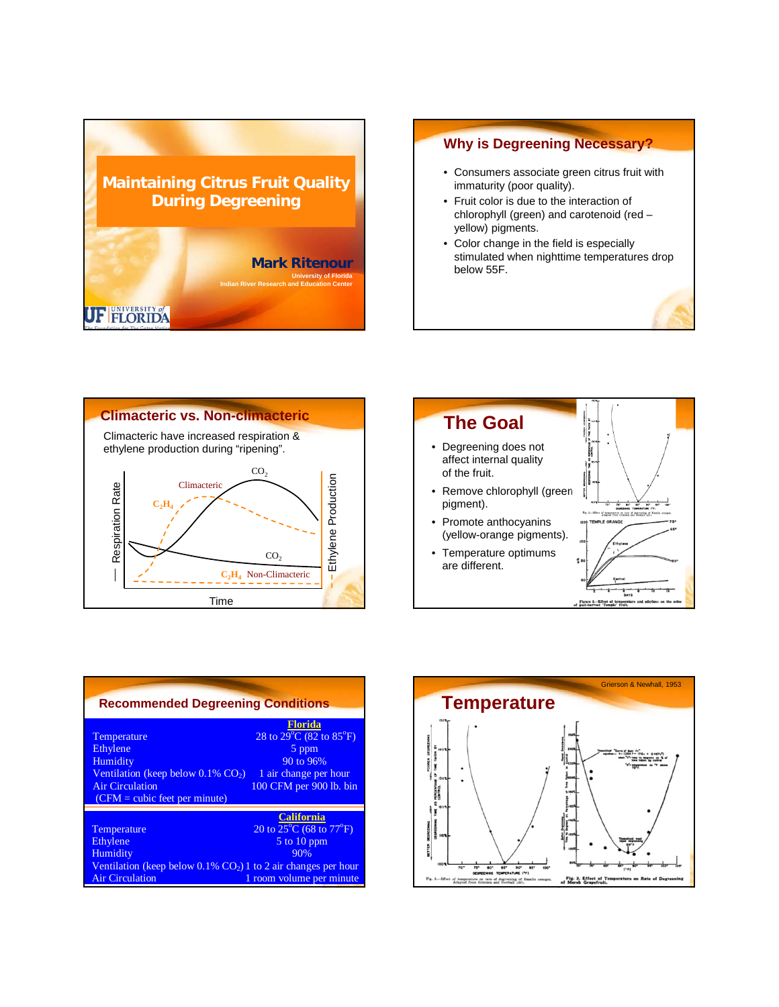

### **Why is Degreening Necessary?**

- Consumers associate green citrus fruit with immaturity (poor quality).
- Fruit color is due to the interaction of chlorophyll (green) and carotenoid (red – yellow) pigments.
- Color change in the field is especially stimulated when nighttime temperatures drop below 55F.





| <b>Recommended Degreening Conditions</b>                                                                                                                     |                                                                                                                                         |
|--------------------------------------------------------------------------------------------------------------------------------------------------------------|-----------------------------------------------------------------------------------------------------------------------------------------|
| Temperature<br>Ethylene<br>Humidity<br>Ventilation (keep below $0.1\%$ CO <sub>2</sub> )<br><b>Air Circulation</b><br>$(CFM = cubic \nvert$ feet per minute) | <b>Florida</b><br>28 to $29^{\circ}$ C (82 to $85^{\circ}$ F)<br>5 ppm<br>90 to 96%<br>1 air change per hour<br>100 CFM per 900 lb. bin |
| Temperature<br>Ethylene<br>Humidity                                                                                                                          | <b>California</b><br>20 to $25^{\circ}$ C (68 to $77^{\circ}$ F)<br>5 to 10 ppm<br>90%                                                  |
| Ventilation (keep below $0.1\%$ CO <sub>2</sub> ) 1 to 2 air changes per hour<br>Air Circulation                                                             | 1 room volume per minute                                                                                                                |

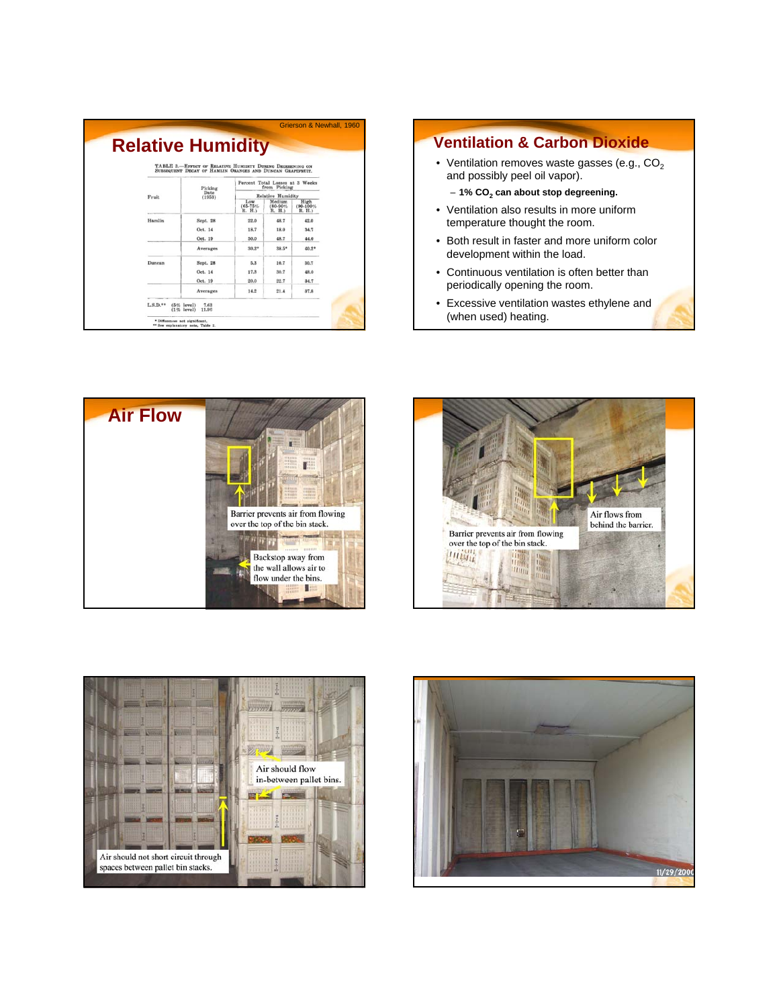|        | TABLE 3.-EFFECT OF RELATIVE HUMIDITY DURING DEGREENING ON |                                                                                                              |                                 |                                 |  |
|--------|-----------------------------------------------------------|--------------------------------------------------------------------------------------------------------------|---------------------------------|---------------------------------|--|
|        | Picking                                                   | SUBSEQUENT DECAY OF HAMLIN ORANGES AND DUNCAN GRAPEPRUIT.<br>Percent Total Losses at 3 Weeks<br>from Picking |                                 |                                 |  |
| Fruit  | Date<br>(1953)                                            |                                                                                                              | <b>Relative Humidity</b>        |                                 |  |
|        |                                                           | Low<br>$(65 - 75%$<br>R. H.)                                                                                 | Medium<br>$(80 - 90%$<br>R. H.) | High<br>$(90 - 100\%$<br>R. H.) |  |
| Hamlin | Sept. 28                                                  | 22.0                                                                                                         | 48.7                            | 42.0                            |  |
|        | Oct. 14                                                   | 18.7                                                                                                         | 18.0                            | 34.7                            |  |
|        | Oct. 19                                                   | 50.0                                                                                                         | 48.7                            | 44.0                            |  |
|        | Averages                                                  | $30.2*$                                                                                                      | $38.5*$                         | $40.2*$                         |  |
| Dunean | Sept. 28                                                  | 5.3                                                                                                          | 10.7                            | 30.7                            |  |
|        | Oct. 14                                                   | 17.3                                                                                                         | 30.7                            | 48.0                            |  |
|        | Oct. 19                                                   | 20.0                                                                                                         | 22.7                            | 34.7                            |  |
|        | Averages                                                  | 14.2                                                                                                         | 21.4                            | 37.8                            |  |

#### **Ventilation & Carbon Dioxide**

• Ventilation removes waste gasses (e.g.,  $CO<sub>2</sub>$ and possibly peel oil vapor).

– **1% CO2 can about stop degreening.**

- Ventilation also results in more uniform temperature thought the room.
- Both result in faster and more uniform color development within the load.
- Continuous ventilation is often better than periodically opening the room.
- Excessive ventilation wastes ethylene and (when used) heating.







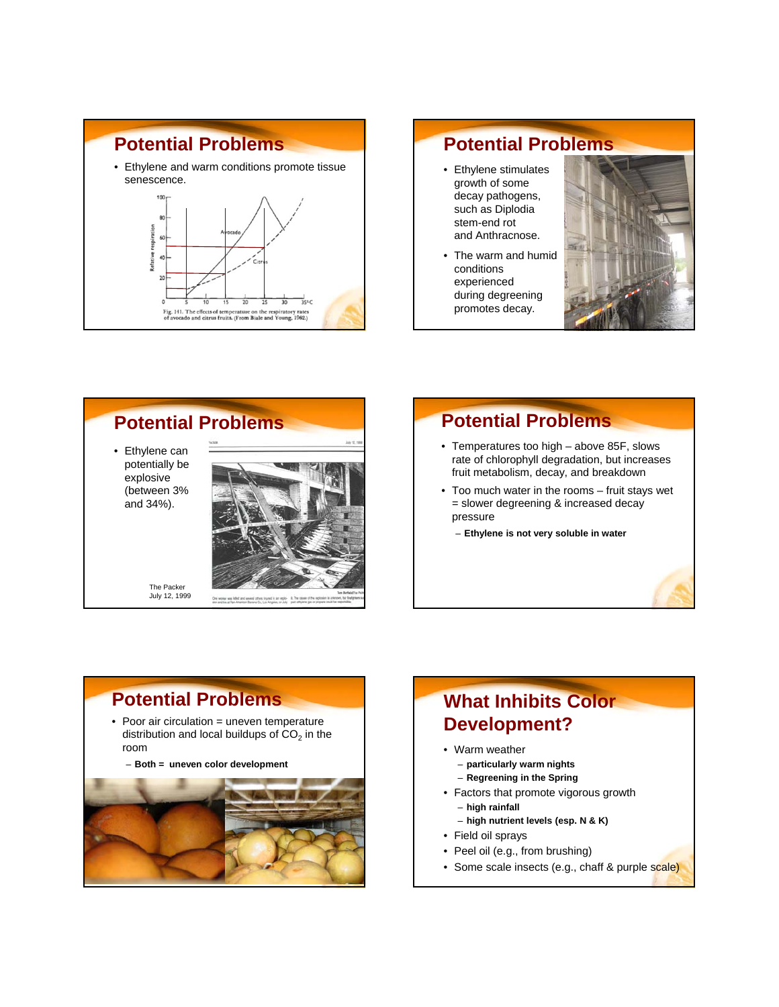

#### **Potential Problems** • Ethylene stimulates growth of some decay pathogens, such as Diplodia stem-end rot and Anthracnose. • The warm and humid conditions experienced during degreening promotes decay.



## **Potential Problems**

- Temperatures too high above 85F, slows rate of chlorophyll degradation, but increases fruit metabolism, decay, and breakdown
- Too much water in the rooms fruit stays wet = slower degreening & increased decay pressure
	- **Ethylene is not very soluble in water**

## **Potential Problems**

• Poor air circulation = uneven temperature distribution and local buildups of  $CO<sub>2</sub>$  in the room

– **Both = uneven color development**



# **What Inhibits Color Development?**

- Warm weather – **particularly warm nights** 
	- **Regreening in the Spring**
- Factors that promote vigorous growth – **high rainfall**
	- **high nutrient levels (esp. N & K)**
- Field oil sprays
- Peel oil (e.g., from brushing)
- Some scale insects (e.g., chaff & purple scale)